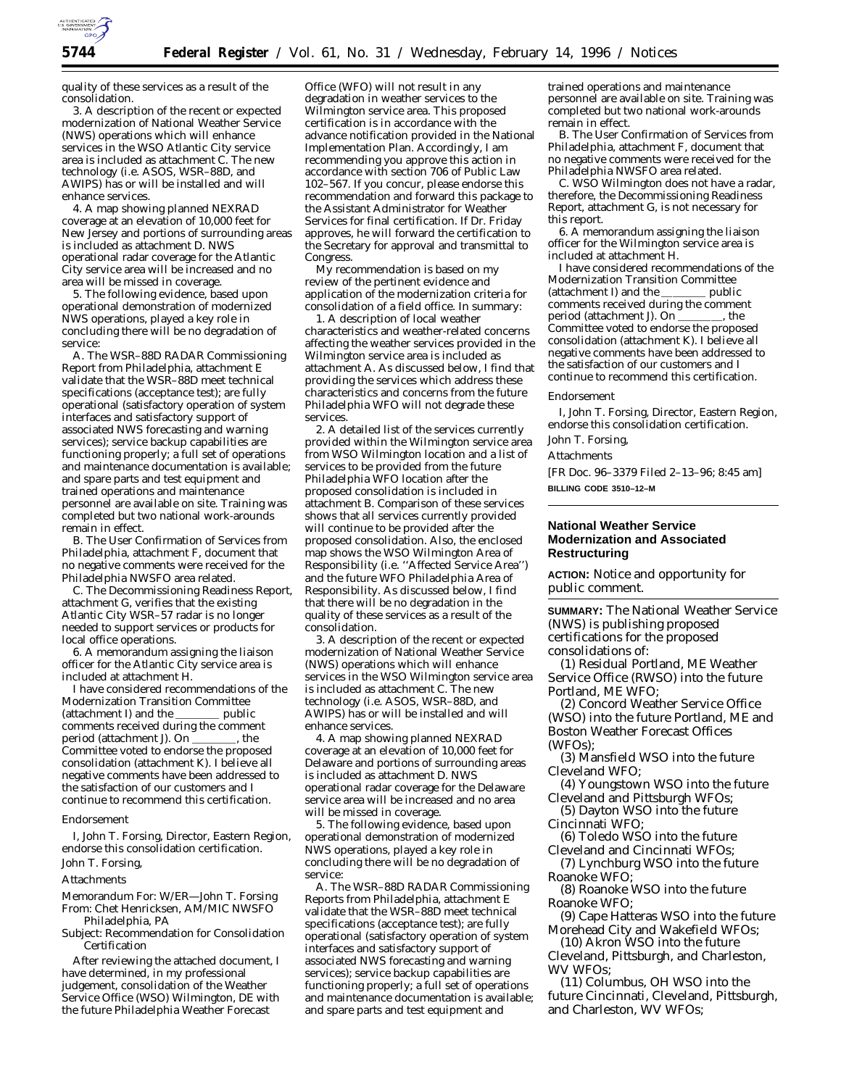

quality of these services as a result of the consolidation.

3. A description of the recent or expected modernization of National Weather Service (NWS) operations which will enhance services in the WSO Atlantic City service area is included as attachment C. The new technology (i.e. ASOS, WSR–88D, and AWIPS) has or will be installed and will enhance services.

4. A map showing planned NEXRAD coverage at an elevation of 10,000 feet for New Jersey and portions of surrounding areas is included as attachment D. NWS operational radar coverage for the Atlantic City service area will be increased and no area will be missed in coverage.

5. The following evidence, based upon operational demonstration of modernized NWS operations, played a key role in concluding there will be no degradation of service:

A. The WSR–88D RADAR Commissioning Report from Philadelphia, attachment E validate that the WSR–88D meet technical specifications (acceptance test); are fully operational (satisfactory operation of system interfaces and satisfactory support of associated NWS forecasting and warning services); service backup capabilities are functioning properly; a full set of operations and maintenance documentation is available; and spare parts and test equipment and trained operations and maintenance personnel are available on site. Training was completed but two national work-arounds remain in effect.

B. The User Confirmation of Services from Philadelphia, attachment F, document that no negative comments were received for the Philadelphia NWSFO area related.

C. The Decommissioning Readiness Report, attachment G, verifies that the existing Atlantic City WSR–57 radar is no longer needed to support services or products for local office operations.

6. A memorandum assigning the liaison officer for the Atlantic City service area is included at attachment H.

I have considered recommendations of the Modernization Transition Committee<br>(attachment I) and the \_\_\_\_\_\_\_\_\_ public (attachment I) and the comments received during the comment<br>period (attachment J). On \_\_\_\_\_\_\_\_, the period (attachment J). On Committee voted to endorse the proposed consolidation (attachment K). I believe all negative comments have been addressed to the satisfaction of our customers and I continue to recommend this certification.

#### *Endorsement*

I, John T. Forsing, Director, Eastern Region, endorse this consolidation certification. John T. Forsing,

# **Attachments**

Memorandum For: W/ER—John T. Forsing From: Chet Henricksen, AM/MIC NWSFO Philadelphia, PA

Subject: Recommendation for Consolidation Certification

After reviewing the attached document, I have determined, in my professional judgement, consolidation of the Weather Service Office (WSO) Wilmington, DE with the future Philadelphia Weather Forecast

Office (WFO) will not result in any degradation in weather services to the Wilmington service area. This proposed certification is in accordance with the advance notification provided in the National Implementation Plan. Accordingly, I am recommending you approve this action in accordance with section 706 of Public Law 102–567. If you concur, please endorse this recommendation and forward this package to the Assistant Administrator for Weather Services for final certification. If Dr. Friday approves, he will forward the certification to the Secretary for approval and transmittal to Congress.

My recommendation is based on my review of the pertinent evidence and application of the modernization criteria for consolidation of a field office. In summary:

1. A description of local weather characteristics and weather-related concerns affecting the weather services provided in the Wilmington service area is included as attachment A. As discussed below, I find that providing the services which address these characteristics and concerns from the future Philadelphia WFO will not degrade these services.

2. A detailed list of the services currently provided within the Wilmington service area from WSO Wilmington location and a list of services to be provided from the future Philadelphia WFO location after the proposed consolidation is included in attachment B. Comparison of these services shows that all services currently provided will continue to be provided after the proposed consolidation. Also, the enclosed map shows the WSO Wilmington Area of Responsibility (i.e. ''Affected Service Area'') and the future WFO Philadelphia Area of Responsibility. As discussed below, I find that there will be no degradation in the quality of these services as a result of the consolidation.

3. A description of the recent or expected modernization of National Weather Service (NWS) operations which will enhance services in the WSO Wilmington service area is included as attachment C. The new technology (i.e. ASOS, WSR–88D, and AWIPS) has or will be installed and will enhance services.

4. A map showing planned NEXRAD coverage at an elevation of 10,000 feet for Delaware and portions of surrounding areas is included as attachment D. NWS operational radar coverage for the Delaware service area will be increased and no area will be missed in coverage.

5. The following evidence, based upon operational demonstration of modernized NWS operations, played a key role in concluding there will be no degradation of service:

A. The WSR–88D RADAR Commissioning Reports from Philadelphia, attachment E validate that the WSR–88D meet technical specifications (acceptance test); are fully operational (satisfactory operation of system interfaces and satisfactory support of associated NWS forecasting and warning services); service backup capabilities are functioning properly; a full set of operations and maintenance documentation is available; and spare parts and test equipment and

trained operations and maintenance personnel are available on site. Training was completed but two national work-arounds remain in effect.

B. The User Confirmation of Services from Philadelphia, attachment F, document that no negative comments were received for the Philadelphia NWSFO area related.

C. WSO Wilmington does not have a radar, therefore, the Decommissioning Readiness Report, attachment G, is not necessary for this report.

6. A memorandum assigning the liaison officer for the Wilmington service area is included at attachment H.

I have considered recommendations of the Modernization Transition Committee<br>(attachment I) and the \_\_\_\_\_\_\_\_\_\_ public (attachment I) and the  $\_\_$ comments received during the comment period (attachment J). On \_\_\_\_\_\_\_, the Committee voted to endorse the proposed consolidation (attachment K). I believe all negative comments have been addressed to the satisfaction of our customers and I continue to recommend this certification.

#### *Endorsement*

I, John T. Forsing, Director, Eastern Region, endorse this consolidation certification.

### John T. Forsing,

Attachments

[FR Doc. 96–3379 Filed 2–13–96; 8:45 am] **BILLING CODE 3510–12–M**

### **National Weather Service Modernization and Associated Restructuring**

**ACTION:** Notice and opportunity for public comment.

**SUMMARY:** The National Weather Service (NWS) is publishing proposed certifications for the proposed consolidations of:

(1) Residual Portland, ME Weather Service Office (RWSO) into the future Portland, ME WFO;

(2) Concord Weather Service Office (WSO) into the future Portland, ME and Boston Weather Forecast Offices (WFOs);

(3) Mansfield WSO into the future Cleveland WFO;

(4) Youngstown WSO into the future Cleveland and Pittsburgh WFOs;

(5) Dayton WSO into the future Cincinnati WFO;

(6) Toledo WSO into the future Cleveland and Cincinnati WFOs;

(7) Lynchburg WSO into the future Roanoke WFO;

(8) Roanoke WSO into the future Roanoke WFO;

(9) Cape Hatteras WSO into the future Morehead City and Wakefield WFOs;

(10) Akron WSO into the future Cleveland, Pittsburgh, and Charleston, WV WFOs;

(11) Columbus, OH WSO into the future Cincinnati, Cleveland, Pittsburgh, and Charleston, WV WFOs;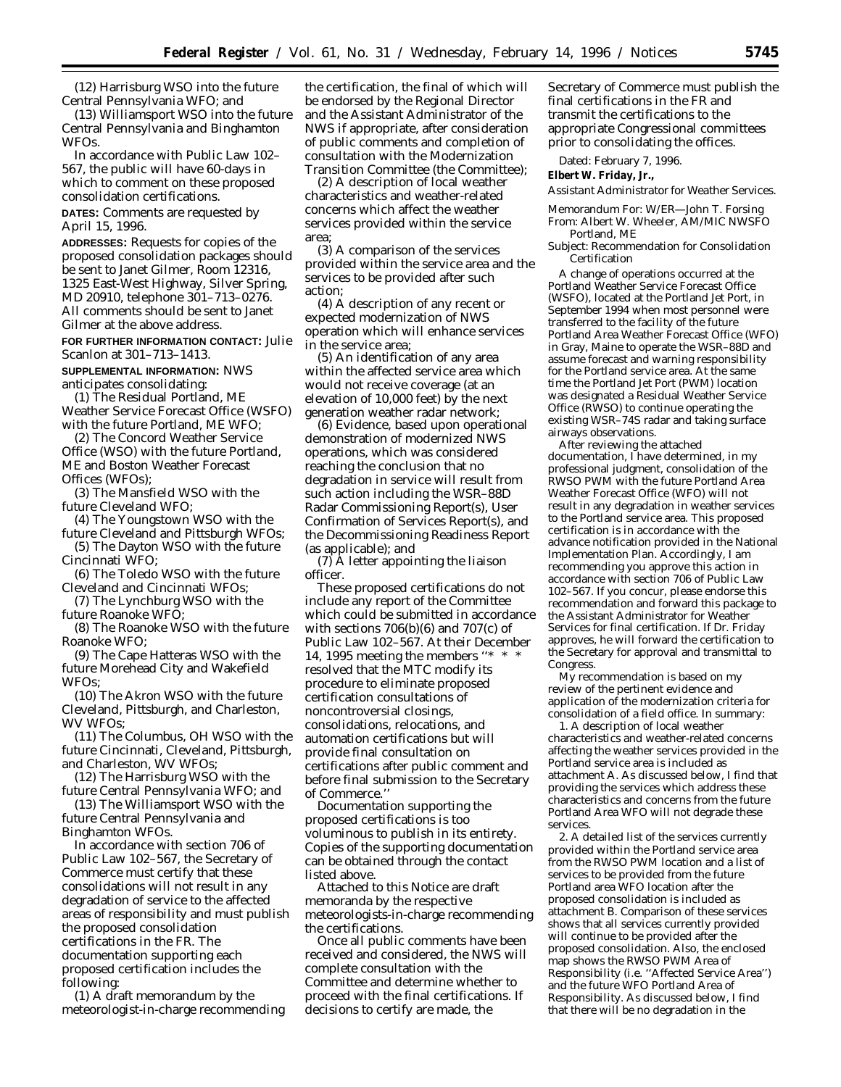(12) Harrisburg WSO into the future Central Pennsylvania WFO; and

(13) Williamsport WSO into the future Central Pennsylvania and Binghamton WFOs.

In accordance with Public Law 102– 567, the public will have 60-days in which to comment on these proposed consolidation certifications.

**DATES:** Comments are requested by April 15, 1996.

**ADDRESSES:** Requests for copies of the proposed consolidation packages should be sent to Janet Gilmer, Room 12316, 1325 East-West Highway, Silver Spring, MD 20910, telephone 301–713–0276. All comments should be sent to Janet Gilmer at the above address.

**FOR FURTHER INFORMATION CONTACT:** Julie Scanlon at 301–713–1413.

**SUPPLEMENTAL INFORMATION:** NWS anticipates consolidating:

(1) The Residual Portland, ME Weather Service Forecast Office (WSFO) with the future Portland, ME WFO;

(2) The Concord Weather Service Office (WSO) with the future Portland, ME and Boston Weather Forecast Offices (WFOs);

(3) The Mansfield WSO with the future Cleveland WFO;

(4) The Youngstown WSO with the future Cleveland and Pittsburgh WFOs;

(5) The Dayton WSO with the future Cincinnati WFO;

(6) The Toledo WSO with the future Cleveland and Cincinnati WFOs;

(7) The Lynchburg WSO with the future Roanoke WFO;

(8) The Roanoke WSO with the future Roanoke WFO;

(9) The Cape Hatteras WSO with the future Morehead City and Wakefield WFOs;

(10) The Akron WSO with the future Cleveland, Pittsburgh, and Charleston, WV WFOs;

(11) The Columbus, OH WSO with the future Cincinnati, Cleveland, Pittsburgh, and Charleston, WV WFOs;

(12) The Harrisburg WSO with the future Central Pennsylvania WFO; and

(13) The Williamsport WSO with the future Central Pennsylvania and Binghamton WFOs.

In accordance with section 706 of Public Law 102–567, the Secretary of Commerce must certify that these consolidations will not result in any degradation of service to the affected areas of responsibility and must publish the proposed consolidation certifications in the FR. The documentation supporting each proposed certification includes the following:

(1) A draft memorandum by the meteorologist-in-charge recommending

the certification, the final of which will be endorsed by the Regional Director and the Assistant Administrator of the NWS if appropriate, after consideration of public comments and completion of consultation with the Modernization Transition Committee (the Committee);

(2) A description of local weather characteristics and weather-related concerns which affect the weather services provided within the service area;

(3) A comparison of the services provided within the service area and the services to be provided after such action;

(4) A description of any recent or expected modernization of NWS operation which will enhance services in the service area;

(5) An identification of any area within the affected service area which would not receive coverage (at an elevation of 10,000 feet) by the next generation weather radar network;

(6) Evidence, based upon operational demonstration of modernized NWS operations, which was considered reaching the conclusion that no degradation in service will result from such action including the WSR–88D Radar Commissioning Report(s), User Confirmation of Services Report(s), and the Decommissioning Readiness Report (as applicable); and

(7) A letter appointing the liaison officer.

These proposed certifications do not include any report of the Committee which could be submitted in accordance with sections  $706(b)(6)$  and  $707(c)$  of Public Law 102–567. At their December 14, 1995 meeting the members ''\* \* \* resolved that the MTC modify its procedure to eliminate proposed certification consultations of noncontroversial closings, consolidations, relocations, and automation certifications but will provide final consultation on certifications after public comment and before final submission to the Secretary of Commerce.''

Documentation supporting the proposed certifications is too voluminous to publish in its entirety. Copies of the supporting documentation can be obtained through the contact listed above.

Attached to this Notice are draft memoranda by the respective meteorologists-in-charge recommending the certifications.

Once all public comments have been received and considered, the NWS will complete consultation with the Committee and determine whether to proceed with the final certifications. If decisions to certify are made, the

Secretary of Commerce must publish the final certifications in the FR and transmit the certifications to the appropriate Congressional committees prior to consolidating the offices.

Dated: February 7, 1996.

**Elbert W. Friday, Jr.,**

*Assistant Administrator for Weather Services.*

Memorandum For: W/ER—John T. Forsing From: Albert W. Wheeler, AM/MIC NWSFO Portland, ME

Subject: Recommendation for Consolidation Certification

A change of operations occurred at the Portland Weather Service Forecast Office (WSFO), located at the Portland Jet Port, in September 1994 when most personnel were transferred to the facility of the future Portland Area Weather Forecast Office (WFO) in Gray, Maine to operate the WSR–88D and assume forecast and warning responsibility for the Portland service area. At the same time the Portland Jet Port (PWM) location was designated a Residual Weather Service Office (RWSO) to continue operating the existing WSR–74S radar and taking surface airways observations.

After reviewing the attached documentation, I have determined, in my professional judgment, consolidation of the RWSO PWM with the future Portland Area Weather Forecast Office (WFO) will not result in any degradation in weather services to the Portland service area. This proposed certification is in accordance with the advance notification provided in the National Implementation Plan. Accordingly, I am recommending you approve this action in accordance with section 706 of Public Law 102–567. If you concur, please endorse this recommendation and forward this package to the Assistant Administrator for Weather Services for final certification. If Dr. Friday approves, he will forward the certification to the Secretary for approval and transmittal to Congress.

My recommendation is based on my review of the pertinent evidence and application of the modernization criteria for consolidation of a field office. In summary:

1. A description of local weather characteristics and weather-related concerns affecting the weather services provided in the Portland service area is included as attachment A. As discussed below, I find that providing the services which address these characteristics and concerns from the future Portland Area WFO will not degrade these services.

2. A detailed list of the services currently provided within the Portland service area from the RWSO PWM location and a list of services to be provided from the future Portland area WFO location after the proposed consolidation is included as attachment B. Comparison of these services shows that all services currently provided will continue to be provided after the proposed consolidation. Also, the enclosed map shows the RWSO PWM Area of Responsibility (i.e. ''Affected Service Area'') and the future WFO Portland Area of Responsibility. As discussed below, I find that there will be no degradation in the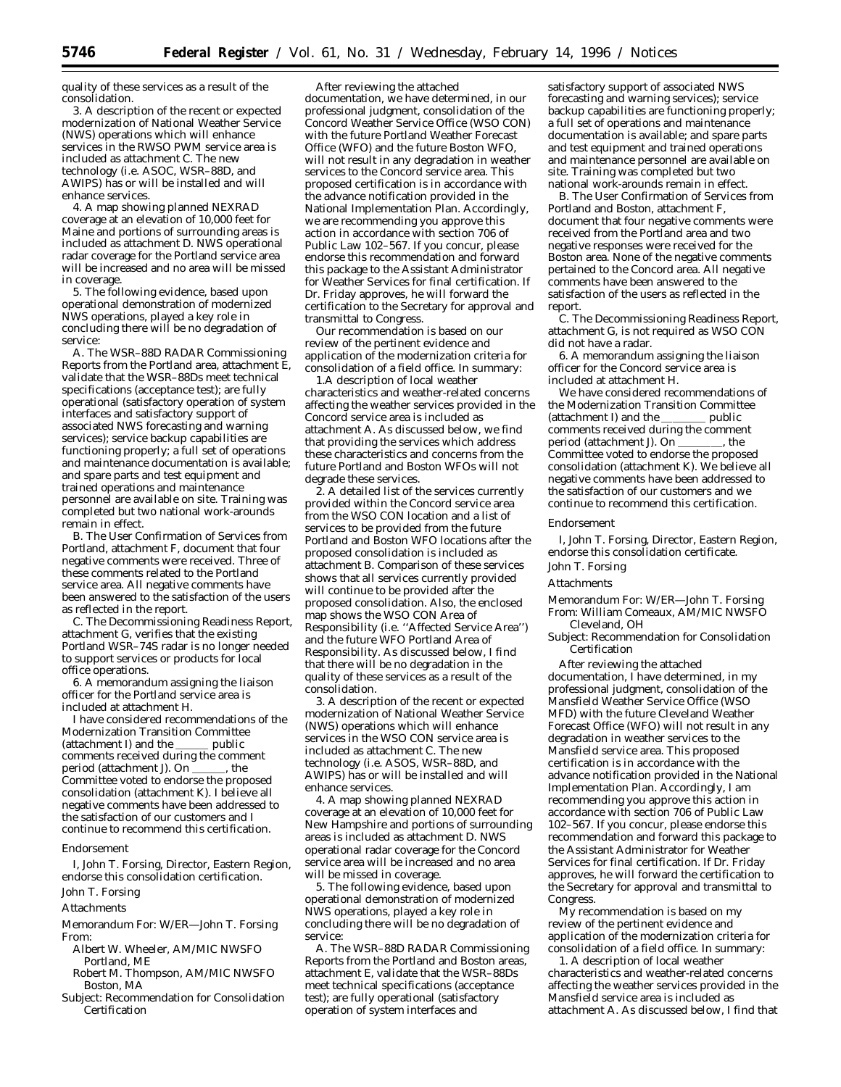quality of these services as a result of the consolidation.

3. A description of the recent or expected modernization of National Weather Service (NWS) operations which will enhance services in the RWSO PWM service area is included as attachment C. The new technology (i.e. ASOC, WSR–88D, and AWIPS) has or will be installed and will enhance services.

4. A map showing planned NEXRAD coverage at an elevation of 10,000 feet for Maine and portions of surrounding areas is included as attachment D. NWS operational radar coverage for the Portland service area will be increased and no area will be missed in coverage.

5. The following evidence, based upon operational demonstration of modernized NWS operations, played a key role in concluding there will be no degradation of service:

A. The WSR–88D RADAR Commissioning Reports from the Portland area, attachment E, validate that the WSR–88Ds meet technical specifications (acceptance test); are fully operational (satisfactory operation of system interfaces and satisfactory support of associated NWS forecasting and warning services); service backup capabilities are functioning properly; a full set of operations and maintenance documentation is available; and spare parts and test equipment and trained operations and maintenance personnel are available on site. Training was completed but two national work-arounds remain in effect.

B. The User Confirmation of Services from Portland, attachment F, document that four negative comments were received. Three of these comments related to the Portland service area. All negative comments have been answered to the satisfaction of the users as reflected in the report.

C. The Decommissioning Readiness Report, attachment G, verifies that the existing Portland WSR–74S radar is no longer needed to support services or products for local office operations.

6. A memorandum assigning the liaison officer for the Portland service area is included at attachment H.

I have considered recommendations of the Modernization Transition Committee<br>(attachment I) and the \_\_\_\_\_\_\_ public (attachment I) and the comments received during the comment<br>period (attachment J). On  $\overline{\phantom{a}}$ , the period (attachment J). On Committee voted to endorse the proposed consolidation (attachment K). I believe all negative comments have been addressed to the satisfaction of our customers and I continue to recommend this certification.

#### *Endorsement*

I, John T. Forsing, Director, Eastern Region, endorse this consolidation certification. John T. Forsing

### Attachments

Memorandum For: W/ER—John T. Forsing From:

- Albert W. Wheeler, AM/MIC NWSFO Portland, ME
- Robert M. Thompson, AM/MIC NWSFO Boston, MA
- Subject: Recommendation for Consolidation Certification

After reviewing the attached documentation, we have determined, in our professional judgment, consolidation of the Concord Weather Service Office (WSO CON) with the future Portland Weather Forecast Office (WFO) and the future Boston WFO, will not result in any degradation in weather services to the Concord service area. This proposed certification is in accordance with the advance notification provided in the National Implementation Plan. Accordingly, we are recommending you approve this action in accordance with section 706 of Public Law 102–567. If you concur, please endorse this recommendation and forward this package to the Assistant Administrator for Weather Services for final certification. If Dr. Friday approves, he will forward the certification to the Secretary for approval and transmittal to Congress.

Our recommendation is based on our review of the pertinent evidence and application of the modernization criteria for consolidation of a field office. In summary:

1.A description of local weather characteristics and weather-related concerns affecting the weather services provided in the Concord service area is included as attachment A. As discussed below, we find that providing the services which address these characteristics and concerns from the future Portland and Boston WFOs will not degrade these services.

2. A detailed list of the services currently provided within the Concord service area from the WSO CON location and a list of services to be provided from the future Portland and Boston WFO locations after the proposed consolidation is included as attachment B. Comparison of these services shows that all services currently provided will continue to be provided after the proposed consolidation. Also, the enclosed map shows the WSO CON Area of Responsibility (i.e. ''Affected Service Area'') and the future WFO Portland Area of Responsibility. As discussed below, I find that there will be no degradation in the quality of these services as a result of the consolidation.

3. A description of the recent or expected modernization of National Weather Service (NWS) operations which will enhance services in the WSO CON service area is included as attachment C. The new technology (i.e. ASOS, WSR–88D, and AWIPS) has or will be installed and will enhance services.

4. A map showing planned NEXRAD coverage at an elevation of 10,000 feet for New Hampshire and portions of surrounding areas is included as attachment D. NWS operational radar coverage for the Concord service area will be increased and no area will be missed in coverage.

5. The following evidence, based upon operational demonstration of modernized NWS operations, played a key role in concluding there will be no degradation of service:

A. The WSR–88D RADAR Commissioning Reports from the Portland and Boston areas, attachment E, validate that the WSR–88Ds meet technical specifications (acceptance test); are fully operational (satisfactory operation of system interfaces and

satisfactory support of associated NWS forecasting and warning services); service backup capabilities are functioning properly; a full set of operations and maintenance documentation is available; and spare parts and test equipment and trained operations and maintenance personnel are available on site. Training was completed but two national work-arounds remain in effect.

B. The User Confirmation of Services from Portland and Boston, attachment F, document that four negative comments were received from the Portland area and two negative responses were received for the Boston area. None of the negative comments pertained to the Concord area. All negative comments have been answered to the satisfaction of the users as reflected in the report.

C. The Decommissioning Readiness Report, attachment G, is not required as WSO CON did not have a radar.

6. A memorandum assigning the liaison officer for the Concord service area is included at attachment H.

We have considered recommendations of the Modernization Transition Committee<br>(attachment I) and the \_\_\_\_\_\_\_\_\_\_ public (attachment I) and the comments received during the comment<br>period (attachment J). On the period (attachment J). On Committee voted to endorse the proposed consolidation (attachment K). We believe all negative comments have been addressed to the satisfaction of our customers and we continue to recommend this certification.

#### *Endorsement*

I, John T. Forsing, Director, Eastern Region, endorse this consolidation certificate.

# John T. Forsing

### Attachments

- Memorandum For: W/ER—John T. Forsing From: William Comeaux, AM/MIC NWSFO
- Cleveland, OH Subject: Recommendation for Consolidation

Certification

After reviewing the attached documentation, I have determined, in my professional judgment, consolidation of the Mansfield Weather Service Office (WSO MFD) with the future Cleveland Weather Forecast Office (WFO) will not result in any degradation in weather services to the Mansfield service area. This proposed certification is in accordance with the advance notification provided in the National Implementation Plan. Accordingly, I am recommending you approve this action in accordance with section 706 of Public Law 102–567. If you concur, please endorse this recommendation and forward this package to the Assistant Administrator for Weather Services for final certification. If Dr. Friday approves, he will forward the certification to the Secretary for approval and transmittal to Congress.

My recommendation is based on my review of the pertinent evidence and application of the modernization criteria for consolidation of a field office. In summary:

1. A description of local weather characteristics and weather-related concerns affecting the weather services provided in the Mansfield service area is included as attachment A. As discussed below, I find that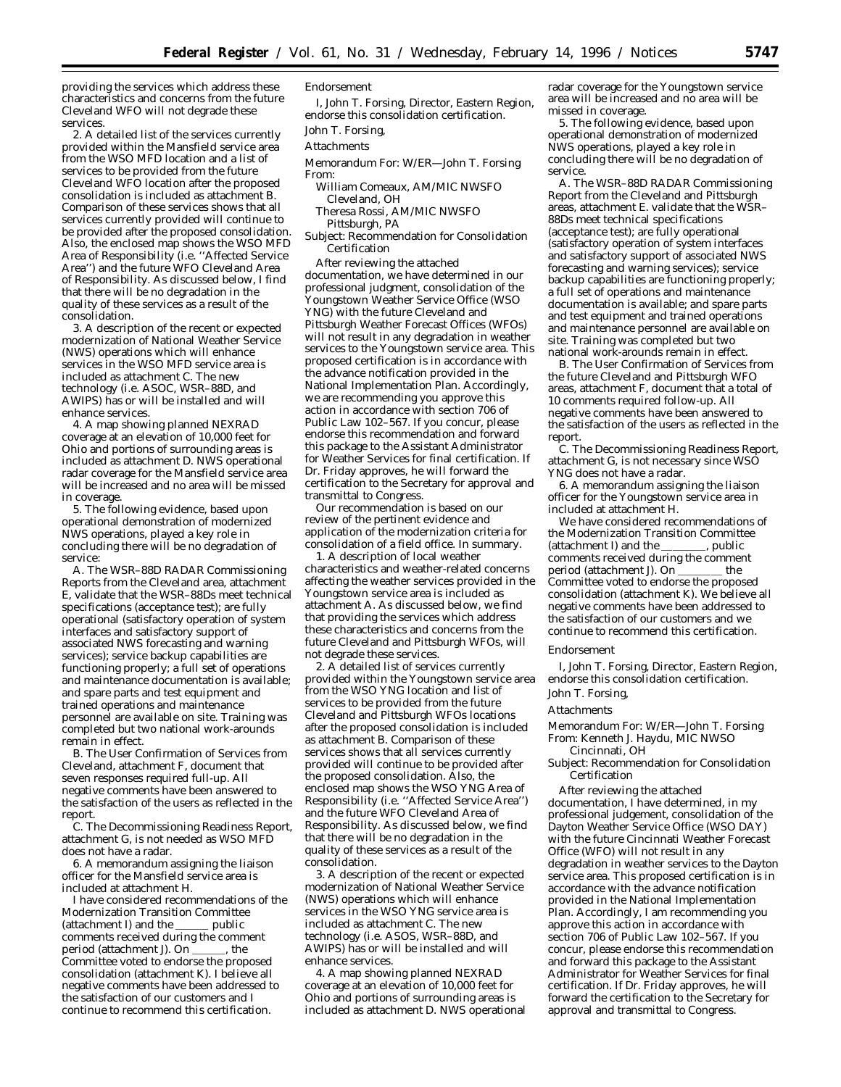providing the services which address these characteristics and concerns from the future Cleveland WFO will not degrade these services.

2. A detailed list of the services currently provided within the Mansfield service area from the WSO MFD location and a list of services to be provided from the future Cleveland WFO location after the proposed consolidation is included as attachment B. Comparison of these services shows that all services currently provided will continue to be provided after the proposed consolidation. Also, the enclosed map shows the WSO MFD Area of Responsibility (i.e. ''Affected Service Area'') and the future WFO Cleveland Area of Responsibility. As discussed below, I find that there will be no degradation in the quality of these services as a result of the consolidation.

3. A description of the recent or expected modernization of National Weather Service (NWS) operations which will enhance services in the WSO MFD service area is included as attachment C. The new technology (i.e. ASOC, WSR–88D, and AWIPS) has or will be installed and will enhance services.

4. A map showing planned NEXRAD coverage at an elevation of 10,000 feet for Ohio and portions of surrounding areas is included as attachment D. NWS operational radar coverage for the Mansfield service area will be increased and no area will be missed in coverage.

5. The following evidence, based upon operational demonstration of modernized NWS operations, played a key role in concluding there will be no degradation of service:

A. The WSR–88D RADAR Commissioning Reports from the Cleveland area, attachment E, validate that the WSR–88Ds meet technical specifications (acceptance test); are fully operational (satisfactory operation of system interfaces and satisfactory support of associated NWS forecasting and warning services); service backup capabilities are functioning properly; a full set of operations and maintenance documentation is available; and spare parts and test equipment and trained operations and maintenance personnel are available on site. Training was completed but two national work-arounds remain in effect.

B. The User Confirmation of Services from Cleveland, attachment F, document that seven responses required full-up. All negative comments have been answered to the satisfaction of the users as reflected in the report.

C. The Decommissioning Readiness Report, attachment G, is not needed as WSO MFD does not have a radar.

6. A memorandum assigning the liaison officer for the Mansfield service area is included at attachment H.

I have considered recommendations of the Modernization Transition Committee<br>(attachment I) and the \_\_\_\_\_\_\_ public  $(attachment I)$  and the comments received during the comment<br>period (attachment J). On \_\_\_\_\_\_, the period (attachment J). On Committee voted to endorse the proposed consolidation (attachment K). I believe all negative comments have been addressed to the satisfaction of our customers and I continue to recommend this certification.

### *Endorsement*

I, John T. Forsing, Director, Eastern Region, endorse this consolidation certification. John T. Forsing,

### Attachments

- Memorandum For: W/ER—John T. Forsing From:
- William Comeaux, AM/MIC NWSFO Cleveland, OH
- Theresa Rossi, AM/MIC NWSFO Pittsburgh, PA
- Subject: Recommendation for Consolidation Certification

After reviewing the attached documentation, we have determined in our professional judgment, consolidation of the Youngstown Weather Service Office (WSO YNG) with the future Cleveland and Pittsburgh Weather Forecast Offices (WFOs) will not result in any degradation in weather services to the Youngstown service area. This proposed certification is in accordance with the advance notification provided in the National Implementation Plan. Accordingly, we are recommending you approve this action in accordance with section 706 of Public Law 102–567. If you concur, please endorse this recommendation and forward this package to the Assistant Administrator for Weather Services for final certification. If Dr. Friday approves, he will forward the certification to the Secretary for approval and transmittal to Congress.

Our recommendation is based on our review of the pertinent evidence and application of the modernization criteria for consolidation of a field office. In summary.

1. A description of local weather characteristics and weather-related concerns affecting the weather services provided in the Youngstown service area is included as attachment A. As discussed below, we find that providing the services which address these characteristics and concerns from the future Cleveland and Pittsburgh WFOs, will not degrade these services.

2. A detailed list of services currently provided within the Youngstown service area from the WSO YNG location and list of services to be provided from the future Cleveland and Pittsburgh WFOs locations after the proposed consolidation is included as attachment B. Comparison of these services shows that all services currently provided will continue to be provided after the proposed consolidation. Also, the enclosed map shows the WSO YNG Area of Responsibility (i.e. ''Affected Service Area'') and the future WFO Cleveland Area of Responsibility. As discussed below, we find that there will be no degradation in the quality of these services as a result of the consolidation.

3. A description of the recent or expected modernization of National Weather Service (NWS) operations which will enhance services in the WSO YNG service area is included as attachment C. The new technology (i.e. ASOS, WSR–88D, and AWIPS) has or will be installed and will enhance services.

4. A map showing planned NEXRAD coverage at an elevation of 10,000 feet for Ohio and portions of surrounding areas is included as attachment D. NWS operational radar coverage for the Youngstown service area will be increased and no area will be missed in coverage.

5. The following evidence, based upon operational demonstration of modernized NWS operations, played a key role in concluding there will be no degradation of service.

A. The WSR–88D RADAR Commissioning Report from the Cleveland and Pittsburgh areas, attachment E. validate that the WSR– 88Ds meet technical specifications (acceptance test); are fully operational (satisfactory operation of system interfaces and satisfactory support of associated NWS forecasting and warning services); service backup capabilities are functioning properly; a full set of operations and maintenance documentation is available; and spare parts and test equipment and trained operations and maintenance personnel are available on site. Training was completed but two national work-arounds remain in effect.

B. The User Confirmation of Services from the future Cleveland and Pittsburgh WFO areas, attachment F, document that a total of 10 comments required follow-up. All negative comments have been answered to the satisfaction of the users as reflected in the report.

C. The Decommissioning Readiness Report, attachment G, is not necessary since WSO YNG does not have a radar.

6. A memorandum assigning the liaison officer for the Youngstown service area in included at attachment H.

We have considered recommendations of the Modernization Transition Committee<br>(attachment I) and the \_\_\_\_\_\_\_\_\_, public (attachment I) and the comments received during the comment period (attachment J). On \_\_\_\_\_\_\_ the Committee voted to endorse the proposed consolidation (attachment K). We believe all negative comments have been addressed to the satisfaction of our customers and we continue to recommend this certification.

#### *Endorsement*

I, John T. Forsing, Director, Eastern Region, endorse this consolidation certification. John T. Forsing,

### Attachments

Memorandum For: W/ER—John T. Forsing From: Kenneth J. Haydu, MIC NWSO Cincinnati, OH

Subject: Recommendation for Consolidation **Certification** 

After reviewing the attached documentation, I have determined, in my professional judgement, consolidation of the Dayton Weather Service Office (WSO DAY) with the future Cincinnati Weather Forecast Office (WFO) will not result in any degradation in weather services to the Dayton service area. This proposed certification is in accordance with the advance notification provided in the National Implementation Plan. Accordingly, I am recommending you approve this action in accordance with section 706 of Public Law 102–567. If you concur, please endorse this recommendation and forward this package to the Assistant Administrator for Weather Services for final certification. If Dr. Friday approves, he will forward the certification to the Secretary for approval and transmittal to Congress.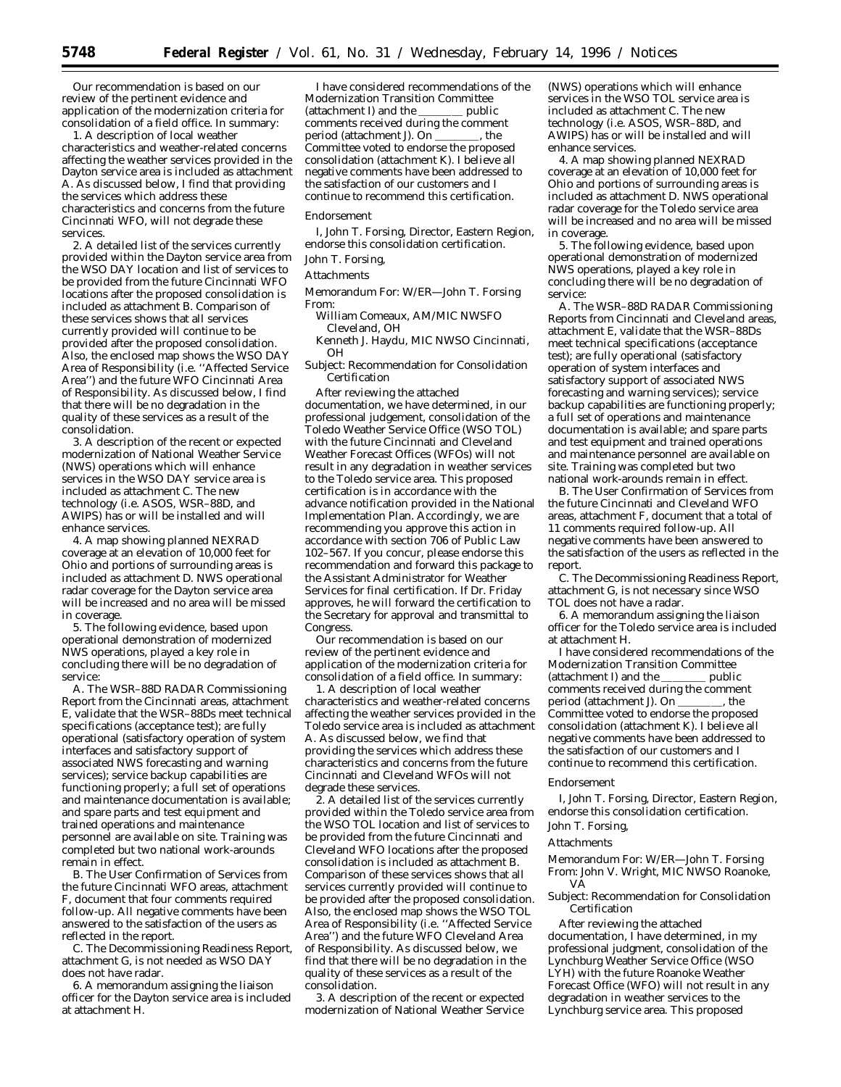Our recommendation is based on our review of the pertinent evidence and application of the modernization criteria for consolidation of a field office. In summary:

1. A description of local weather characteristics and weather-related concerns affecting the weather services provided in the Dayton service area is included as attachment A. As discussed below, I find that providing the services which address these characteristics and concerns from the future Cincinnati WFO, will not degrade these services.

2. A detailed list of the services currently provided within the Dayton service area from the WSO DAY location and list of services to be provided from the future Cincinnati WFO locations after the proposed consolidation is included as attachment B. Comparison of these services shows that all services currently provided will continue to be provided after the proposed consolidation. Also, the enclosed map shows the WSO DAY Area of Responsibility (i.e. ''Affected Service Area'') and the future WFO Cincinnati Area of Responsibility. As discussed below, I find that there will be no degradation in the quality of these services as a result of the consolidation.

3. A description of the recent or expected modernization of National Weather Service (NWS) operations which will enhance services in the WSO DAY service area is included as attachment C. The new technology (i.e. ASOS, WSR–88D, and AWIPS) has or will be installed and will enhance services.

4. A map showing planned NEXRAD coverage at an elevation of 10,000 feet for Ohio and portions of surrounding areas is included as attachment D. NWS operational radar coverage for the Dayton service area will be increased and no area will be missed in coverage.

5. The following evidence, based upon operational demonstration of modernized NWS operations, played a key role in concluding there will be no degradation of service:

A. The WSR–88D RADAR Commissioning Report from the Cincinnati areas, attachment E, validate that the WSR–88Ds meet technical specifications (acceptance test); are fully operational (satisfactory operation of system interfaces and satisfactory support of associated NWS forecasting and warning services); service backup capabilities are functioning properly; a full set of operations and maintenance documentation is available; and spare parts and test equipment and trained operations and maintenance personnel are available on site. Training was completed but two national work-arounds remain in effect.

B. The User Confirmation of Services from the future Cincinnati WFO areas, attachment F, document that four comments required follow-up. All negative comments have been answered to the satisfaction of the users as reflected in the report.

C. The Decommissioning Readiness Report, attachment G, is not needed as WSO DAY does not have radar.

6. A memorandum assigning the liaison officer for the Dayton service area is included at attachment H.

I have considered recommendations of the Modernization Transition Committee (attachment I) and the  $\_\_\_\_\_$  public comments received during the comment<br>period (attachment J). On \_\_\_\_\_\_\_\_\_ , the period (attachment J). On Committee voted to endorse the proposed consolidation (attachment K). I believe all negative comments have been addressed to the satisfaction of our customers and I continue to recommend this certification.

#### *Endorsement*

I, John T. Forsing, Director, Eastern Region, endorse this consolidation certification.

### John T. Forsing,

Attachments

- Memorandum For: W/ER—John T. Forsing From:
	- William Comeaux, AM/MIC NWSFO Cleveland, OH
	- Kenneth J. Haydu, MIC NWSO Cincinnati, OH
- Subject: Recommendation for Consolidation Certification

After reviewing the attached documentation, we have determined, in our professional judgement, consolidation of the Toledo Weather Service Office (WSO TOL) with the future Cincinnati and Cleveland Weather Forecast Offices (WFOs) will not result in any degradation in weather services to the Toledo service area. This proposed certification is in accordance with the advance notification provided in the National Implementation Plan. Accordingly, we are recommending you approve this action in accordance with section 706 of Public Law 102–567. If you concur, please endorse this recommendation and forward this package to the Assistant Administrator for Weather Services for final certification. If Dr. Friday approves, he will forward the certification to the Secretary for approval and transmittal to Congress.

Our recommendation is based on our review of the pertinent evidence and application of the modernization criteria for consolidation of a field office. In summary:

1. A description of local weather characteristics and weather-related concerns affecting the weather services provided in the Toledo service area is included as attachment A. As discussed below, we find that providing the services which address these characteristics and concerns from the future Cincinnati and Cleveland WFOs will not degrade these services.

2. A detailed list of the services currently provided within the Toledo service area from the WSO TOL location and list of services to be provided from the future Cincinnati and Cleveland WFO locations after the proposed consolidation is included as attachment B. Comparison of these services shows that all services currently provided will continue to be provided after the proposed consolidation. Also, the enclosed map shows the WSO TOL Area of Responsibility (i.e. ''Affected Service Area'') and the future WFO Cleveland Area of Responsibility. As discussed below, we find that there will be no degradation in the quality of these services as a result of the consolidation.

3. A description of the recent or expected modernization of National Weather Service

(NWS) operations which will enhance services in the WSO TOL service area is included as attachment C. The new technology (i.e. ASOS, WSR–88D, and AWIPS) has or will be installed and will enhance services.

4. A map showing planned NEXRAD coverage at an elevation of 10,000 feet for Ohio and portions of surrounding areas is included as attachment D. NWS operational radar coverage for the Toledo service area will be increased and no area will be missed in coverage.

5. The following evidence, based upon operational demonstration of modernized NWS operations, played a key role in concluding there will be no degradation of service:

A. The WSR–88D RADAR Commissioning Reports from Cincinnati and Cleveland areas, attachment E, validate that the WSR–88Ds meet technical specifications (acceptance test); are fully operational (satisfactory operation of system interfaces and satisfactory support of associated NWS forecasting and warning services); service backup capabilities are functioning properly; a full set of operations and maintenance documentation is available; and spare parts and test equipment and trained operations and maintenance personnel are available on site. Training was completed but two national work-arounds remain in effect.

B. The User Confirmation of Services from the future Cincinnati and Cleveland WFO areas, attachment F, document that a total of 11 comments required follow-up. All negative comments have been answered to the satisfaction of the users as reflected in the report.

C. The Decommissioning Readiness Report, attachment G, is not necessary since WSO TOL does not have a radar.

6. A memorandum assigning the liaison officer for the Toledo service area is included at attachment H.

I have considered recommendations of the Modernization Transition Committee<br>(attachment I) and the \_\_\_\_\_\_\_\_\_\_ public (attachment I) and the comments received during the comment period (attachment J). On \_\_\_\_\_\_\_, the Committee voted to endorse the proposed consolidation (attachment K). I believe all negative comments have been addressed to the satisfaction of our customers and I continue to recommend this certification.

#### *Endorsement*

I, John T. Forsing, Director, Eastern Region, endorse this consolidation certification.

# John T. Forsing,

### Attachments

Memorandum For: W/ER—John T. Forsing From: John V. Wright, MIC NWSO Roanoke, VA

Subject: Recommendation for Consolidation Certification

After reviewing the attached documentation, I have determined, in my professional judgment, consolidation of the Lynchburg Weather Service Office (WSO LYH) with the future Roanoke Weather Forecast Office (WFO) will not result in any degradation in weather services to the Lynchburg service area. This proposed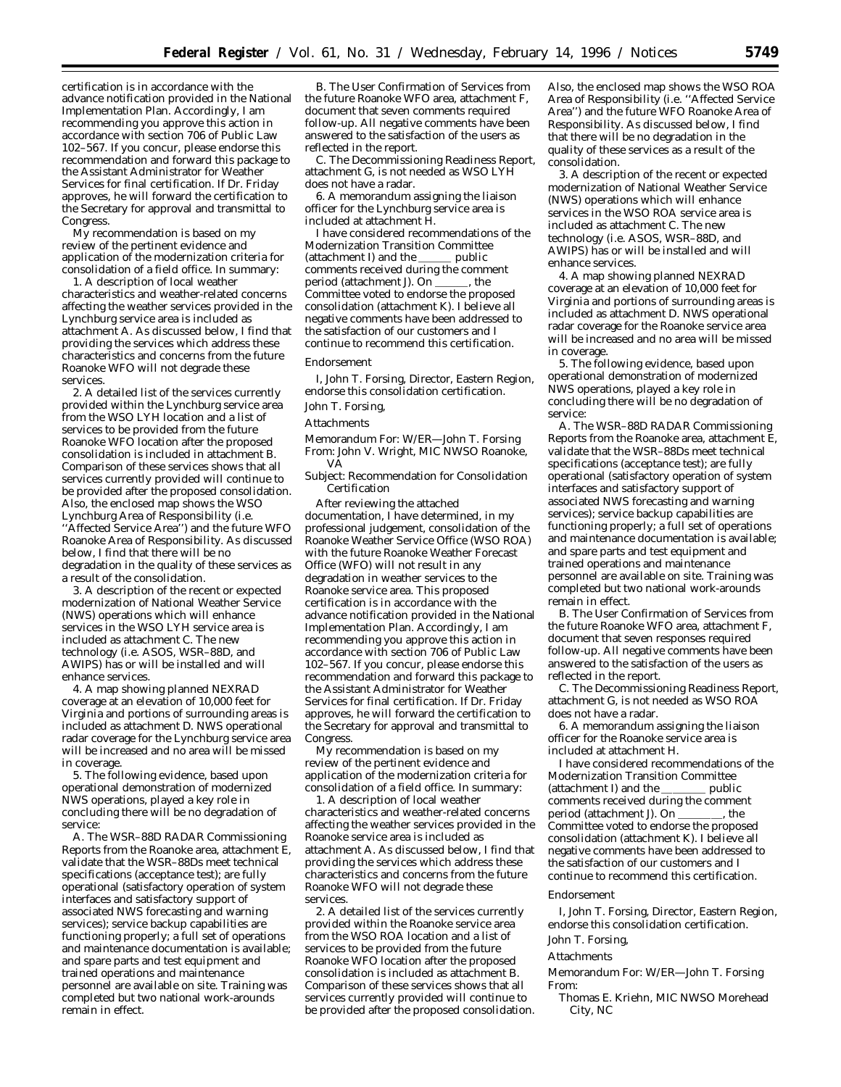certification is in accordance with the advance notification provided in the National Implementation Plan. Accordingly, I am recommending you approve this action in accordance with section 706 of Public Law 102–567. If you concur, please endorse this recommendation and forward this package to the Assistant Administrator for Weather Services for final certification. If Dr. Friday approves, he will forward the certification to the Secretary for approval and transmittal to Congress.

My recommendation is based on my review of the pertinent evidence and application of the modernization criteria for consolidation of a field office. In summary:

1. A description of local weather characteristics and weather-related concerns affecting the weather services provided in the Lynchburg service area is included as attachment A. As discussed below, I find that providing the services which address these characteristics and concerns from the future Roanoke WFO will not degrade these services.

2. A detailed list of the services currently provided within the Lynchburg service area from the WSO LYH location and a list of services to be provided from the future Roanoke WFO location after the proposed consolidation is included in attachment B. Comparison of these services shows that all services currently provided will continue to be provided after the proposed consolidation. Also, the enclosed map shows the WSO Lynchburg Area of Responsibility (i.e. ''Affected Service Area'') and the future WFO Roanoke Area of Responsibility. As discussed below, I find that there will be no degradation in the quality of these services as a result of the consolidation.

3. A description of the recent or expected modernization of National Weather Service (NWS) operations which will enhance services in the WSO LYH service area is included as attachment C. The new technology (i.e. ASOS, WSR–88D, and AWIPS) has or will be installed and will enhance services.

4. A map showing planned NEXRAD coverage at an elevation of 10,000 feet for Virginia and portions of surrounding areas is included as attachment D. NWS operational radar coverage for the Lynchburg service area will be increased and no area will be missed in coverage.

5. The following evidence, based upon operational demonstration of modernized NWS operations, played a key role in concluding there will be no degradation of service:

A. The WSR–88D RADAR Commissioning Reports from the Roanoke area, attachment E, validate that the WSR–88Ds meet technical specifications (acceptance test); are fully operational (satisfactory operation of system interfaces and satisfactory support of associated NWS forecasting and warning services); service backup capabilities are functioning properly; a full set of operations and maintenance documentation is available; and spare parts and test equipment and trained operations and maintenance personnel are available on site. Training was completed but two national work-arounds remain in effect.

B. The User Confirmation of Services from the future Roanoke WFO area, attachment F, document that seven comments required follow-up. All negative comments have been answered to the satisfaction of the users as reflected in the report.

C. The Decommissioning Readiness Report, attachment G, is not needed as WSO LYH does not have a radar.

6. A memorandum assigning the liaison officer for the Lynchburg service area is included at attachment H.

I have considered recommendations of the Modernization Transition Committee<br>(attachment I) and the \_\_\_\_\_\_ public  $(attachment I)$  and the comments received during the comment<br>period (attachment J). On \_\_\_\_\_\_, the period (attachment J). On Committee voted to endorse the proposed consolidation (attachment K). I believe all negative comments have been addressed to the satisfaction of our customers and I continue to recommend this certification.

### *Endorsement*

I, John T. Forsing, Director, Eastern Region, endorse this consolidation certification.

# John T. Forsing,

# Attachments

Memorandum For: W/ER—John T. Forsing From: John V. Wright, MIC NWSO Roanoke, VA

Subject: Recommendation for Consolidation Certification

After reviewing the attached documentation, I have determined, in my professional judgement, consolidation of the Roanoke Weather Service Office (WSO ROA) with the future Roanoke Weather Forecast Office (WFO) will not result in any degradation in weather services to the Roanoke service area. This proposed certification is in accordance with the advance notification provided in the National Implementation Plan. Accordingly, I am recommending you approve this action in accordance with section 706 of Public Law 102–567. If you concur, please endorse this recommendation and forward this package to the Assistant Administrator for Weather Services for final certification. If Dr. Friday approves, he will forward the certification to the Secretary for approval and transmittal to Congress.

My recommendation is based on my review of the pertinent evidence and application of the modernization criteria for consolidation of a field office. In summary:

1. A description of local weather characteristics and weather-related concerns affecting the weather services provided in the Roanoke service area is included as attachment A. As discussed below, I find that providing the services which address these characteristics and concerns from the future Roanoke WFO will not degrade these services.

2. A detailed list of the services currently provided within the Roanoke service area from the WSO ROA location and a list of services to be provided from the future Roanoke WFO location after the proposed consolidation is included as attachment B. Comparison of these services shows that all services currently provided will continue to be provided after the proposed consolidation. Also, the enclosed map shows the WSO ROA Area of Responsibility (i.e. ''Affected Service Area'') and the future WFO Roanoke Area of Responsibility. As discussed below, I find that there will be no degradation in the quality of these services as a result of the consolidation.

3. A description of the recent or expected modernization of National Weather Service (NWS) operations which will enhance services in the WSO ROA service area is included as attachment C. The new technology (i.e. ASOS, WSR–88D, and AWIPS) has or will be installed and will enhance services.

4. A map showing planned NEXRAD coverage at an elevation of 10,000 feet for Virginia and portions of surrounding areas is included as attachment D. NWS operational radar coverage for the Roanoke service area will be increased and no area will be missed in coverage.

5. The following evidence, based upon operational demonstration of modernized NWS operations, played a key role in concluding there will be no degradation of service:

A. The WSR–88D RADAR Commissioning Reports from the Roanoke area, attachment E, validate that the WSR–88Ds meet technical specifications (acceptance test); are fully operational (satisfactory operation of system interfaces and satisfactory support of associated NWS forecasting and warning services); service backup capabilities are functioning properly; a full set of operations and maintenance documentation is available; and spare parts and test equipment and trained operations and maintenance personnel are available on site. Training was completed but two national work-arounds remain in effect.

B. The User Confirmation of Services from the future Roanoke WFO area, attachment F, document that seven responses required follow-up. All negative comments have been answered to the satisfaction of the users as reflected in the report.

C. The Decommissioning Readiness Report, attachment G, is not needed as WSO ROA does not have a radar.

6. A memorandum assigning the liaison officer for the Roanoke service area is included at attachment H.

I have considered recommendations of the Modernization Transition Committee (attachment I) and the  $\_\_\_\_\_$  public comments received during the comment period (attachment J). On \_\_\_\_\_\_\_, the Committee voted to endorse the proposed consolidation (attachment K). I believe all negative comments have been addressed to the satisfaction of our customers and I continue to recommend this certification.

#### *Endorsement*

I, John T. Forsing, Director, Eastern Region, endorse this consolidation certification.

# John T. Forsing,

### Attachments

Memorandum For: W/ER—John T. Forsing From:

Thomas E. Kriehn, MIC NWSO Morehead City, NC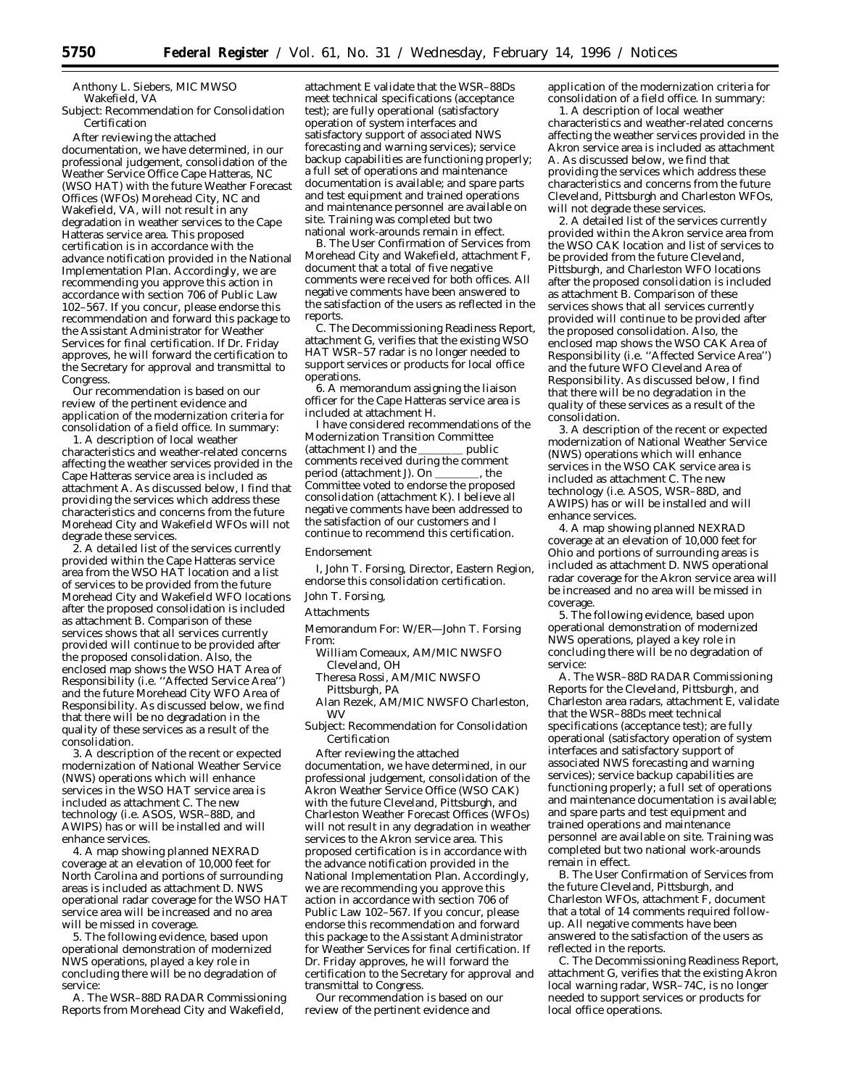Anthony L. Siebers, MIC MWSO Wakefield, VA

Subject: Recommendation for Consolidation Certification

After reviewing the attached documentation, we have determined, in our professional judgement, consolidation of the Weather Service Office Cape Hatteras, NC (WSO HAT) with the future Weather Forecast Offices (WFOs) Morehead City, NC and Wakefield, VA, will not result in any degradation in weather services to the Cape Hatteras service area. This proposed certification is in accordance with the advance notification provided in the National Implementation Plan. Accordingly, we are recommending you approve this action in accordance with section 706 of Public Law 102–567. If you concur, please endorse this recommendation and forward this package to the Assistant Administrator for Weather Services for final certification. If Dr. Friday approves, he will forward the certification to the Secretary for approval and transmittal to Congress.

Our recommendation is based on our review of the pertinent evidence and application of the modernization criteria for consolidation of a field office. In summary:

1. A description of local weather characteristics and weather-related concerns affecting the weather services provided in the Cape Hatteras service area is included as attachment A. As discussed below, I find that providing the services which address these characteristics and concerns from the future Morehead City and Wakefield WFOs will not degrade these services.

2. A detailed list of the services currently provided within the Cape Hatteras service area from the WSO HAT location and a list of services to be provided from the future Morehead City and Wakefield WFO locations after the proposed consolidation is included as attachment B. Comparison of these services shows that all services currently provided will continue to be provided after the proposed consolidation. Also, the enclosed map shows the WSO HAT Area of Responsibility (i.e. ''Affected Service Area'') and the future Morehead City WFO Area of Responsibility. As discussed below, we find that there will be no degradation in the quality of these services as a result of the consolidation.

3. A description of the recent or expected modernization of National Weather Service (NWS) operations which will enhance services in the WSO HAT service area is included as attachment C. The new technology (i.e. ASOS, WSR–88D, and AWIPS) has or will be installed and will enhance services.

4. A map showing planned NEXRAD coverage at an elevation of 10,000 feet for North Carolina and portions of surrounding areas is included as attachment D. NWS operational radar coverage for the WSO HAT service area will be increased and no area will be missed in coverage.

5. The following evidence, based upon operational demonstration of modernized NWS operations, played a key role in concluding there will be no degradation of service:

A. The WSR–88D RADAR Commissioning Reports from Morehead City and Wakefield,

attachment E validate that the WSR–88Ds meet technical specifications (acceptance test); are fully operational (satisfactory operation of system interfaces and satisfactory support of associated NWS forecasting and warning services); service backup capabilities are functioning properly; a full set of operations and maintenance documentation is available; and spare parts and test equipment and trained operations and maintenance personnel are available on site. Training was completed but two national work-arounds remain in effect.

B. The User Confirmation of Services from Morehead City and Wakefield, attachment F, document that a total of five negative comments were received for both offices. All negative comments have been answered to the satisfaction of the users as reflected in the reports.

C. The Decommissioning Readiness Report, attachment G, verifies that the existing WSO HAT WSR-57 radar is no longer needed to support services or products for local office operations.

6. A memorandum assigning the liaison officer for the Cape Hatteras service area is included at attachment H.

I have considered recommendations of the Modernization Transition Committee<br>(attachment I) and the \_\_\_\_\_\_ public (attachment I) and the comments received during the comment period (attachment J). On \_\_\_\_\_\_\_, the Committee voted to endorse the proposed consolidation (attachment K). I believe all negative comments have been addressed to the satisfaction of our customers and I continue to recommend this certification.

### *Endorsement*

I, John T. Forsing, Director, Eastern Region, endorse this consolidation certification.

### John T. Forsing,

Attachments

Memorandum For: W/ER—John T. Forsing From:

- William Comeaux, AM/MIC NWSFO Cleveland, OH
- Theresa Rossi, AM/MIC NWSFO Pittsburgh, PA
- Alan Rezek, AM/MIC NWSFO Charleston, WV
- Subject: Recommendation for Consolidation Certification

After reviewing the attached documentation, we have determined, in our professional judgement, consolidation of the Akron Weather Service Office (WSO CAK) with the future Cleveland, Pittsburgh, and Charleston Weather Forecast Offices (WFOs) will not result in any degradation in weather services to the Akron service area. This proposed certification is in accordance with the advance notification provided in the National Implementation Plan. Accordingly, we are recommending you approve this action in accordance with section 706 of Public Law 102–567. If you concur, please endorse this recommendation and forward this package to the Assistant Administrator for Weather Services for final certification. If Dr. Friday approves, he will forward the certification to the Secretary for approval and transmittal to Congress.

Our recommendation is based on our review of the pertinent evidence and

application of the modernization criteria for consolidation of a field office. In summary:

1. A description of local weather characteristics and weather-related concerns affecting the weather services provided in the Akron service area is included as attachment A. As discussed below, we find that providing the services which address these characteristics and concerns from the future Cleveland, Pittsburgh and Charleston WFOs, will not degrade these services.

2. A detailed list of the services currently provided within the Akron service area from the WSO CAK location and list of services to be provided from the future Cleveland, Pittsburgh, and Charleston WFO locations after the proposed consolidation is included as attachment B. Comparison of these services shows that all services currently provided will continue to be provided after the proposed consolidation. Also, the enclosed map shows the WSO CAK Area of Responsibility (i.e. ''Affected Service Area'') and the future WFO Cleveland Area of Responsibility. As discussed below, I find that there will be no degradation in the quality of these services as a result of the consolidation.

3. A description of the recent or expected modernization of National Weather Service (NWS) operations which will enhance services in the WSO CAK service area is included as attachment C. The new technology (i.e. ASOS, WSR–88D, and AWIPS) has or will be installed and will enhance services.

4. A map showing planned NEXRAD coverage at an elevation of 10,000 feet for Ohio and portions of surrounding areas is included as attachment D. NWS operational radar coverage for the Akron service area will be increased and no area will be missed in coverage.

5. The following evidence, based upon operational demonstration of modernized NWS operations, played a key role in concluding there will be no degradation of service:

A. The WSR–88D RADAR Commissioning Reports for the Cleveland, Pittsburgh, and Charleston area radars, attachment E, validate that the WSR–88Ds meet technical specifications (acceptance test); are fully operational (satisfactory operation of system interfaces and satisfactory support of associated NWS forecasting and warning services); service backup capabilities are functioning properly; a full set of operations and maintenance documentation is available; and spare parts and test equipment and trained operations and maintenance personnel are available on site. Training was completed but two national work-arounds remain in effect.

B. The User Confirmation of Services from the future Cleveland, Pittsburgh, and Charleston WFOs, attachment F, document that a total of 14 comments required followup. All negative comments have been answered to the satisfaction of the users as reflected in the reports.

C. The Decommissioning Readiness Report, attachment G, verifies that the existing Akron local warning radar, WSR–74C, is no longer needed to support services or products for local office operations.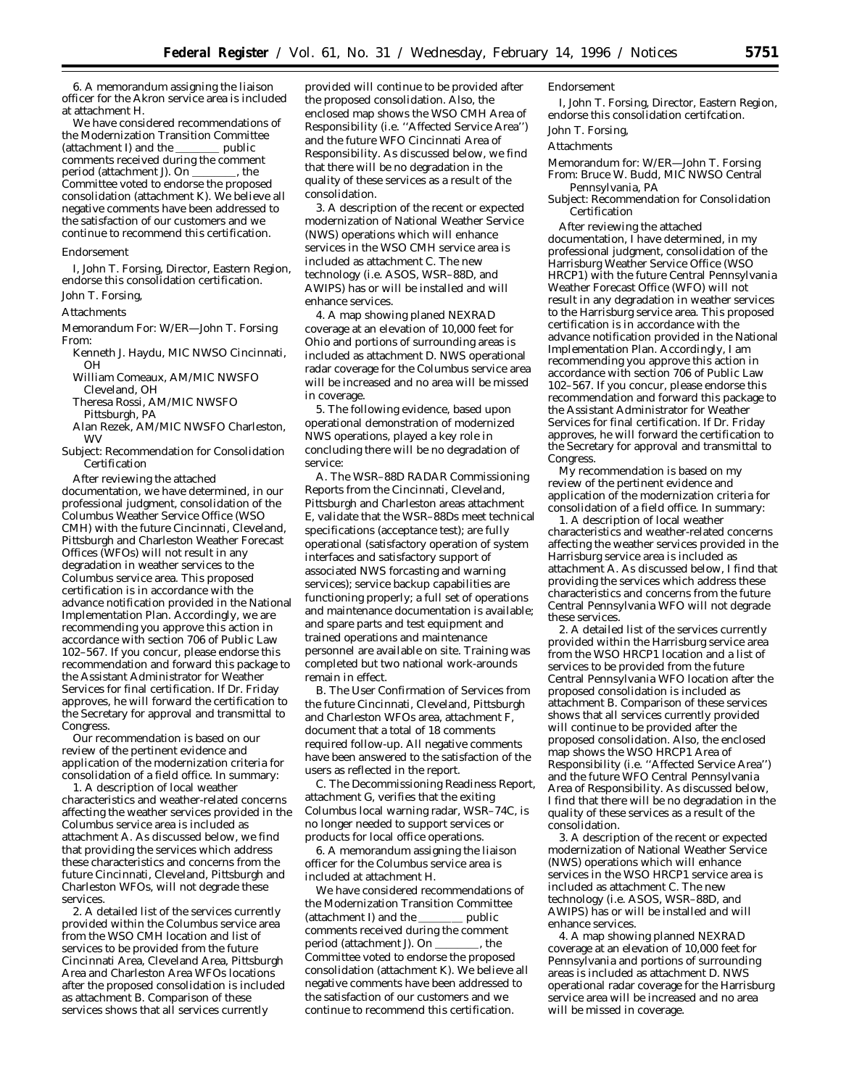6. A memorandum assigning the liaison officer for the Akron service area is included at attachment H.

We have considered recommendations of the Modernization Transition Committee<br>(attachment I) and the \_\_\_\_\_\_\_\_\_\_ public (attachment I) and the comments received during the comment period (attachment J). On \_\_\_\_\_\_\_, the Committee voted to endorse the proposed consolidation (attachment K). We believe all negative comments have been addressed to the satisfaction of our customers and we continue to recommend this certification.

### *Endorsement*

I, John T. Forsing, Director, Eastern Region, endorse this consolidation certification. John T. Forsing,

# Attachments

- Memorandum For: W/ER—John T. Forsing From:
- Kenneth J. Haydu, MIC NWSO Cincinnati, OH
- William Comeaux, AM/MIC NWSFO Cleveland, OH
- Theresa Rossi, AM/MIC NWSFO Pittsburgh, PA
- Alan Rezek, AM/MIC NWSFO Charleston, WV
- Subject: Recommendation for Consolidation Certification

After reviewing the attached documentation, we have determined, in our professional judgment, consolidation of the Columbus Weather Service Office (WSO CMH) with the future Cincinnati, Cleveland, Pittsburgh and Charleston Weather Forecast Offices (WFOs) will not result in any degradation in weather services to the Columbus service area. This proposed certification is in accordance with the advance notification provided in the National Implementation Plan. Accordingly, we are recommending you approve this action in accordance with section 706 of Public Law 102–567. If you concur, please endorse this recommendation and forward this package to the Assistant Administrator for Weather Services for final certification. If Dr. Friday approves, he will forward the certification to the Secretary for approval and transmittal to Congress.

Our recommendation is based on our review of the pertinent evidence and application of the modernization criteria for consolidation of a field office. In summary:

1. A description of local weather characteristics and weather-related concerns affecting the weather services provided in the Columbus service area is included as attachment A. As discussed below, we find that providing the services which address these characteristics and concerns from the future Cincinnati, Cleveland, Pittsburgh and Charleston WFOs, will not degrade these services.

2. A detailed list of the services currently provided within the Columbus service area from the WSO CMH location and list of services to be provided from the future Cincinnati Area, Cleveland Area, Pittsburgh Area and Charleston Area WFOs locations after the proposed consolidation is included as attachment B. Comparison of these services shows that all services currently

provided will continue to be provided after the proposed consolidation. Also, the enclosed map shows the WSO CMH Area of Responsibility (i.e. ''Affected Service Area'') and the future WFO Cincinnati Area of Responsibility. As discussed below, we find that there will be no degradation in the quality of these services as a result of the consolidation.

3. A description of the recent or expected modernization of National Weather Service (NWS) operations which will enhance services in the WSO CMH service area is included as attachment C. The new technology (i.e. ASOS, WSR–88D, and AWIPS) has or will be installed and will enhance services.

4. A map showing planed NEXRAD coverage at an elevation of 10,000 feet for Ohio and portions of surrounding areas is included as attachment D. NWS operational radar coverage for the Columbus service area will be increased and no area will be missed in coverage.

5. The following evidence, based upon operational demonstration of modernized NWS operations, played a key role in concluding there will be no degradation of service:

A. The WSR–88D RADAR Commissioning Reports from the Cincinnati, Cleveland, Pittsburgh and Charleston areas attachment E, validate that the WSR–88Ds meet technical specifications (acceptance test); are fully operational (satisfactory operation of system interfaces and satisfactory support of associated NWS forcasting and warning services); service backup capabilities are functioning properly; a full set of operations and maintenance documentation is available; and spare parts and test equipment and trained operations and maintenance personnel are available on site. Training was completed but two national work-arounds remain in effect.

B. The User Confirmation of Services from the future Cincinnati, Cleveland, Pittsburgh and Charleston WFOs area, attachment F, document that a total of 18 comments required follow-up. All negative comments have been answered to the satisfaction of the users as reflected in the report.

C. The Decommissioning Readiness Report, attachment G, verifies that the exiting Columbus local warning radar, WSR–74C, is no longer needed to support services or products for local office operations.

6. A memorandum assigning the liaison officer for the Columbus service area is included at attachment H.

We have considered recommendations of the Modernization Transition Committee<br>(attachment I) and the \_\_\_\_\_\_\_\_\_\_ public (attachment I) and the  $\overline{\phantom{a}}$ comments received during the comment period (attachment J). On \_\_\_\_\_\_\_, the Committee voted to endorse the proposed consolidation (attachment K). We believe all negative comments have been addressed to the satisfaction of our customers and we continue to recommend this certification.

### *Endorsement*

I, John T. Forsing, Director, Eastern Region, endorse this consolidation certifcation. John T. Forsing,

#### Attachments

Memorandum for: W/ER—John T. Forsing From: Bruce W. Budd, MIC NWSO Central Pennsylvania, PA

Subject: Recommendation for Consolidation Certification

After reviewing the attached documentation, I have determined, in my professional judgment, consolidation of the Harrisburg Weather Service Office (WSO HRCP1) with the future Central Pennsylvania Weather Forecast Office (WFO) will not result in any degradation in weather services to the Harrisburg service area. This proposed certification is in accordance with the advance notification provided in the National Implementation Plan. Accordingly, I am recommending you approve this action in accordance with section 706 of Public Law 102–567. If you concur, please endorse this recommendation and forward this package to the Assistant Administrator for Weather Services for final certification. If Dr. Friday approves, he will forward the certification to the Secretary for approval and transmittal to Congress.

My recommendation is based on my review of the pertinent evidence and application of the modernization criteria for consolidation of a field office. In summary:

1. A description of local weather characteristics and weather-related concerns affecting the weather services provided in the Harrisburg service area is included as attachment A. As discussed below, I find that providing the services which address these characteristics and concerns from the future Central Pennsylvania WFO will not degrade these services.

2. A detailed list of the services currently provided within the Harrisburg service area from the WSO HRCP1 location and a list of services to be provided from the future Central Pennsylvania WFO location after the proposed consolidation is included as attachment B. Comparison of these services shows that all services currently provided will continue to be provided after the proposed consolidation. Also, the enclosed map shows the WSO HRCP1 Area of Responsibility (i.e. ''Affected Service Area'') and the future WFO Central Pennsylvania Area of Responsibility. As discussed below, I find that there will be no degradation in the quality of these services as a result of the consolidation.

3. A description of the recent or expected modernization of National Weather Service (NWS) operations which will enhance services in the WSO HRCP1 service area is included as attachment C. The new technology (i.e. ASOS, WSR–88D, and AWIPS) has or will be installed and will enhance services.

4. A map showing planned NEXRAD coverage at an elevation of 10,000 feet for Pennsylvania and portions of surrounding areas is included as attachment D. NWS operational radar coverage for the Harrisburg service area will be increased and no area will be missed in coverage.